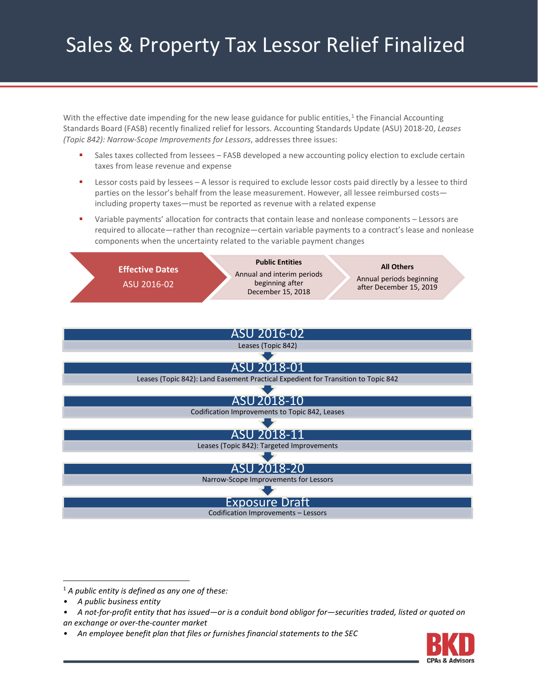# Sales & Property Tax Lessor Relief Finalized

With the effective date impending for the new lease guidance for public entities,<sup>[1](#page-0-0)</sup> the Financial Accounting Standards Board (FASB) recently finalized relief for lessors. Accounting Standards Update (ASU) 2018-20, *Leases (Topic 842): Narrow-Scope Improvements for Lessors*, addresses three issues:

- Sales taxes collected from lessees FASB developed a new accounting policy election to exclude certain taxes from lease revenue and expense
- **EXECTS 2** Lessor costs paid by lessees A lessor is required to exclude lessor costs paid directly by a lessee to third parties on the lessor's behalf from the lease measurement. However, all lessee reimbursed costsincluding property taxes—must be reported as revenue with a related expense
- Variable payments' allocation for contracts that contain lease and nonlease components Lessors are required to allocate—rather than recognize—certain variable payments to a contract's lease and nonlease components when the uncertainty related to the variable payment changes





<span id="page-0-0"></span>1 *A public entity is defined as any one of these:*

*• A public business entity*

- *an exchange or over-the-counter market*
- *An employee benefit plan that files or furnishes financial statements to the SEC*



*<sup>•</sup> A not-for-profit entity that has issued—or is a conduit bond obligor for—securities traded, listed or quoted on*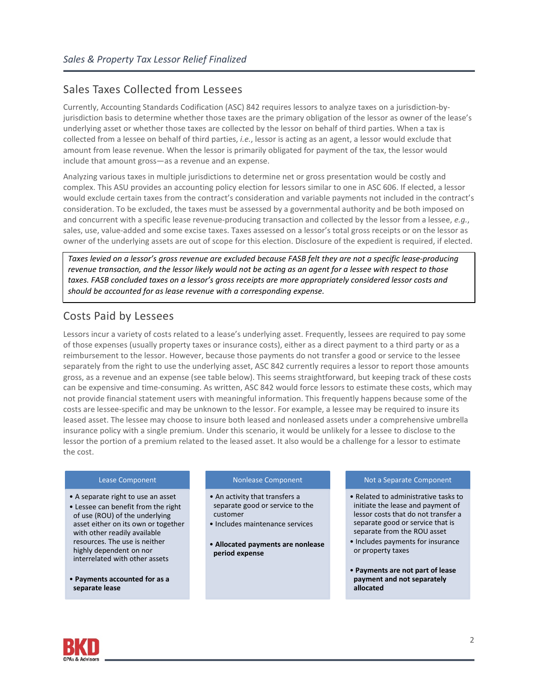## Sales Taxes Collected from Lessees

Currently, Accounting Standards Codification (ASC) 842 requires lessors to analyze taxes on a jurisdiction-byjurisdiction basis to determine whether those taxes are the primary obligation of the lessor as owner of the lease's underlying asset or whether those taxes are collected by the lessor on behalf of third parties. When a tax is collected from a lessee on behalf of third parties, *i.e.*, lessor is acting as an agent, a lessor would exclude that amount from lease revenue. When the lessor is primarily obligated for payment of the tax, the lessor would include that amount gross—as a revenue and an expense.

Analyzing various taxes in multiple jurisdictions to determine net or gross presentation would be costly and complex. This ASU provides an accounting policy election for lessors similar to one in ASC 606. If elected, a lessor would exclude certain taxes from the contract's consideration and variable payments not included in the contract's consideration. To be excluded, the taxes must be assessed by a governmental authority and be both imposed on and concurrent with a specific lease revenue-producing transaction and collected by the lessor from a lessee, *e.g.*, sales, use, value-added and some excise taxes. Taxes assessed on a lessor's total gross receipts or on the lessor as owner of the underlying assets are out of scope for this election. Disclosure of the expedient is required, if elected.

*Taxes levied on a lessor's gross revenue are excluded because FASB felt they are not a specific lease-producing revenue transaction, and the lessor likely would not be acting as an agent for a lessee with respect to those taxes. FASB concluded taxes on a lessor's gross receipts are more appropriately considered lessor costs and should be accounted for as lease revenue with a corresponding expense.*

## Costs Paid by Lessees

Lessors incur a variety of costs related to a lease's underlying asset. Frequently, lessees are required to pay some of those expenses (usually property taxes or insurance costs), either as a direct payment to a third party or as a reimbursement to the lessor. However, because those payments do not transfer a good or service to the lessee separately from the right to use the underlying asset, ASC 842 currently requires a lessor to report those amounts gross, as a revenue and an expense (see table below). This seems straightforward, but keeping track of these costs can be expensive and time-consuming. As written, ASC 842 would force lessors to estimate these costs, which may not provide financial statement users with meaningful information. This frequently happens because some of the costs are lessee-specific and may be unknown to the lessor. For example, a lessee may be required to insure its leased asset. The lessee may choose to insure both leased and nonleased assets under a comprehensive umbrella insurance policy with a single premium. Under this scenario, it would be unlikely for a lessee to disclose to the lessor the portion of a premium related to the leased asset. It also would be a challenge for a lessor to estimate the cost.

## Lease Component

- A separate right to use an asset
- Lessee can benefit from the right of use (ROU) of the underlying asset either on its own or together with other readily available resources. The use is neither highly dependent on nor interrelated with other assets
- **Payments accounted for as a separate lease**

## Nonlease Component

- An activity that transfers a separate good or service to the customer
- Includes maintenance services
- **Allocated payments are nonlease period expense**

## Not a Separate Component

- Related to administrative tasks to initiate the lease and payment of lessor costs that do not transfer a separate good or service that is separate from the ROU asset
- Includes payments for insurance or property taxes
- **Payments are not part of lease payment and not separately allocated**

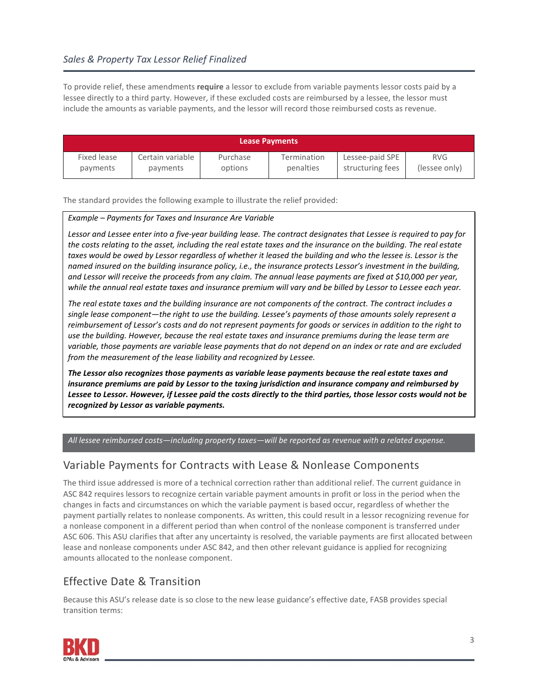To provide relief, these amendments **require** a lessor to exclude from variable payments lessor costs paid by a lessee directly to a third party. However, if these excluded costs are reimbursed by a lessee, the lessor must include the amounts as variable payments, and the lessor will record those reimbursed costs as revenue.

| <b>Lease Payments</b> |                  |          |             |                  |               |
|-----------------------|------------------|----------|-------------|------------------|---------------|
| Fixed lease           | Certain variable | Purchase | Termination | Lessee-paid SPE  | <b>RVG</b>    |
| payments              | payments         | options  | penalties   | structuring fees | (lessee only) |

The standard provides the following example to illustrate the relief provided:

## *Example – Payments for Taxes and Insurance Are Variable*

*Lessor and Lessee enter into a five-year building lease. The contract designates that Lessee is required to pay for the costs relating to the asset, including the real estate taxes and the insurance on the building. The real estate*  taxes would be owed by Lessor regardless of whether it leased the building and who the lessee is. Lessor is the *named insured on the building insurance policy, i.e., the insurance protects Lessor's investment in the building, and Lessor will receive the proceeds from any claim. The annual lease payments are fixed at \$10,000 per year,*  while the annual real estate taxes and insurance premium will vary and be billed by Lessor to Lessee each year.

*The real estate taxes and the building insurance are not components of the contract. The contract includes a single lease component—the right to use the building. Lessee's payments of those amounts solely represent a reimbursement of Lessor's costs and do not represent payments for goods or services in addition to the right to use the building. However, because the real estate taxes and insurance premiums during the lease term are variable, those payments are variable lease payments that do not depend on an index or rate and are excluded from the measurement of the lease liability and recognized by Lessee.* 

*The Lessor also recognizes those payments as variable lease payments because the real estate taxes and insurance premiums are paid by Lessor to the taxing jurisdiction and insurance company and reimbursed by Lessee to Lessor. However, if Lessee paid the costs directly to the third parties, those lessor costs would not be recognized by Lessor as variable payments.* 

*All lessee reimbursed costs—including property taxes—will be reported as revenue with a related expense.*

## Variable Payments for Contracts with Lease & Nonlease Components

The third issue addressed is more of a technical correction rather than additional relief. The current guidance in ASC 842 requires lessors to recognize certain variable payment amounts in profit or loss in the period when the changes in facts and circumstances on which the variable payment is based occur, regardless of whether the payment partially relates to nonlease components. As written, this could result in a lessor recognizing revenue for a nonlease component in a different period than when control of the nonlease component is transferred under ASC 606. This ASU clarifies that after any uncertainty is resolved, the variable payments are first allocated between lease and nonlease components under ASC 842, and then other relevant guidance is applied for recognizing amounts allocated to the nonlease component.

## Effective Date & Transition

Because this ASU's release date is so close to the new lease guidance's effective date, FASB provides special transition terms: